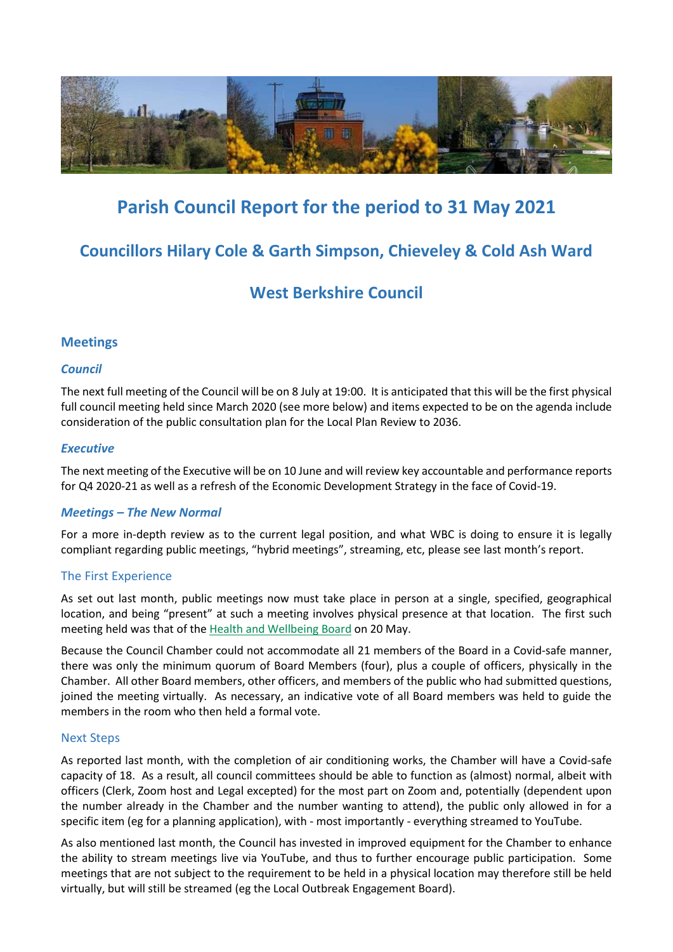

# **Parish Council Report for the period to 31 May 2021**

# **Councillors Hilary Cole & Garth Simpson, Chieveley & Cold Ash Ward**

# **West Berkshire Council**

# **Meetings**

# *Council*

The next full meeting of the Council will be on 8 July at 19:00. It is anticipated that this will be the first physical full council meeting held since March 2020 (see more below) and items expected to be on the agenda include consideration of the public consultation plan for the Local Plan Review to 2036.

# *Executive*

The next meeting of the Executive will be on 10 June and will review key accountable and performance reports for Q4 2020-21 as well as a refresh of the Economic Development Strategy in the face of Covid-19.

# *Meetings – The New Normal*

For a more in-depth review as to the current legal position, and what WBC is doing to ensure it is legally compliant regarding public meetings, "hybrid meetings", streaming, etc, please see last month's report.

# The First Experience

As set out last month, public meetings now must take place in person at a single, specified, geographical location, and being "present" at such a meeting involves physical presence at that location. The first such meeting held was that of the [Health and Wellbeing](https://www.youtube.com/watch?v=JHMnSkswHYk&list=PL6cepKKElwne9h0GajvDRG65M2AG0Wn_U&index=2) Board on 20 May.

Because the Council Chamber could not accommodate all 21 members of the Board in a Covid-safe manner, there was only the minimum quorum of Board Members (four), plus a couple of officers, physically in the Chamber. All other Board members, other officers, and members of the public who had submitted questions, joined the meeting virtually. As necessary, an indicative vote of all Board members was held to guide the members in the room who then held a formal vote.

### Next Steps

As reported last month, with the completion of air conditioning works, the Chamber will have a Covid-safe capacity of 18. As a result, all council committees should be able to function as (almost) normal, albeit with officers (Clerk, Zoom host and Legal excepted) for the most part on Zoom and, potentially (dependent upon the number already in the Chamber and the number wanting to attend), the public only allowed in for a specific item (eg for a planning application), with - most importantly - everything streamed to YouTube.

As also mentioned last month, the Council has invested in improved equipment for the Chamber to enhance the ability to stream meetings live via YouTube, and thus to further encourage public participation. Some meetings that are not subject to the requirement to be held in a physical location may therefore still be held virtually, but will still be streamed (eg the Local Outbreak Engagement Board).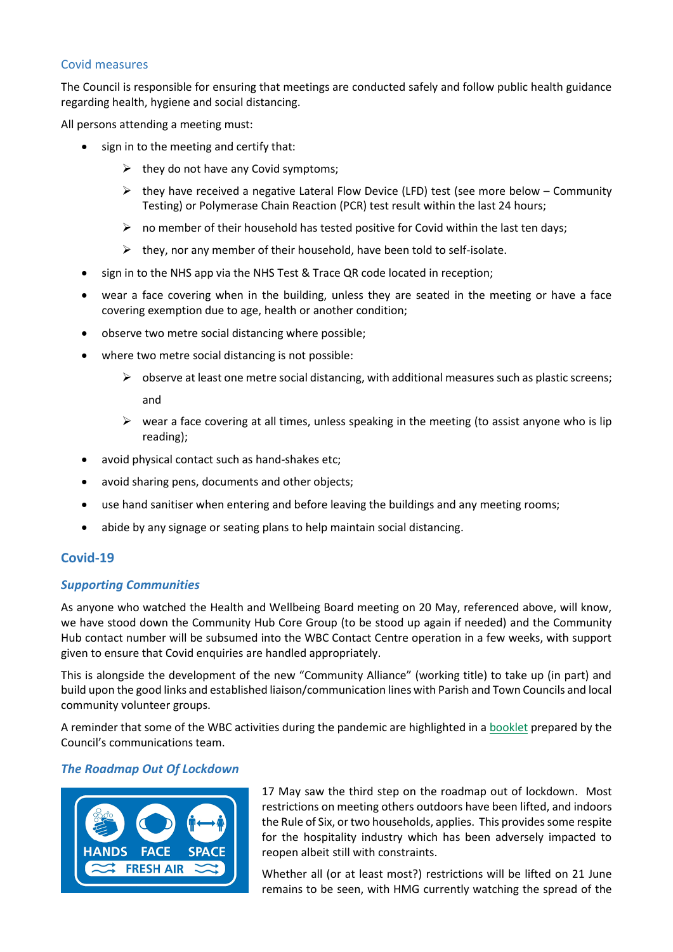### Covid measures

The Council is responsible for ensuring that meetings are conducted safely and follow public health guidance regarding health, hygiene and social distancing.

All persons attending a meeting must:

- sign in to the meeting and certify that:
	- $\triangleright$  they do not have any Covid symptoms;
	- $\triangleright$  they have received a negative Lateral Flow Device (LFD) test (see more below Community Testing) or Polymerase Chain Reaction (PCR) test result within the last 24 hours;
	- $\triangleright$  no member of their household has tested positive for Covid within the last ten days;
	- $\triangleright$  they, nor any member of their household, have been told to self-isolate.
- sign in to the NHS app via the NHS Test & Trace QR code located in reception;
- wear a face covering when in the building, unless they are seated in the meeting or have a face covering exemption due to age, health or another condition;
- observe two metre social distancing where possible;
- where two metre social distancing is not possible:
	- $\triangleright$  observe at least one metre social distancing, with additional measures such as plastic screens; and
	- $\triangleright$  wear a face covering at all times, unless speaking in the meeting (to assist anyone who is lip reading);
- avoid physical contact such as hand-shakes etc;
- avoid sharing pens, documents and other objects;
- use hand sanitiser when entering and before leaving the buildings and any meeting rooms;
- abide by any signage or seating plans to help maintain social distancing.

# **Covid-19**

# *Supporting Communities*

As anyone who watched the Health and Wellbeing Board meeting on 20 May, referenced above, will know, we have stood down the Community Hub Core Group (to be stood up again if needed) and the Community Hub contact number will be subsumed into the WBC Contact Centre operation in a few weeks, with support given to ensure that Covid enquiries are handled appropriately.

This is alongside the development of the new "Community Alliance" (working title) to take up (in part) and build upon the good links and established liaison/communication lines with Parish and Town Councils and local community volunteer groups.

A reminder that some of the WBC activities during the pandemic are highlighted in a [booklet](https://www.westberks.gov.uk/media/50426/Covid-19-Supporting-Our-Communities-e-booklet/pdf/Covid_19_Supporting_Our_Communities_FINAL.pdf) prepared by the Council's communications team.

# *The Roadmap Out Of Lockdown*



17 May saw the third step on the roadmap out of lockdown. Most restrictions on meeting others outdoors have been lifted, and indoors the Rule of Six, or two households, applies. This provides some respite for the hospitality industry which has been adversely impacted to reopen albeit still with constraints.

Whether all (or at least most?) restrictions will be lifted on 21 June remains to be seen, with HMG currently watching the spread of the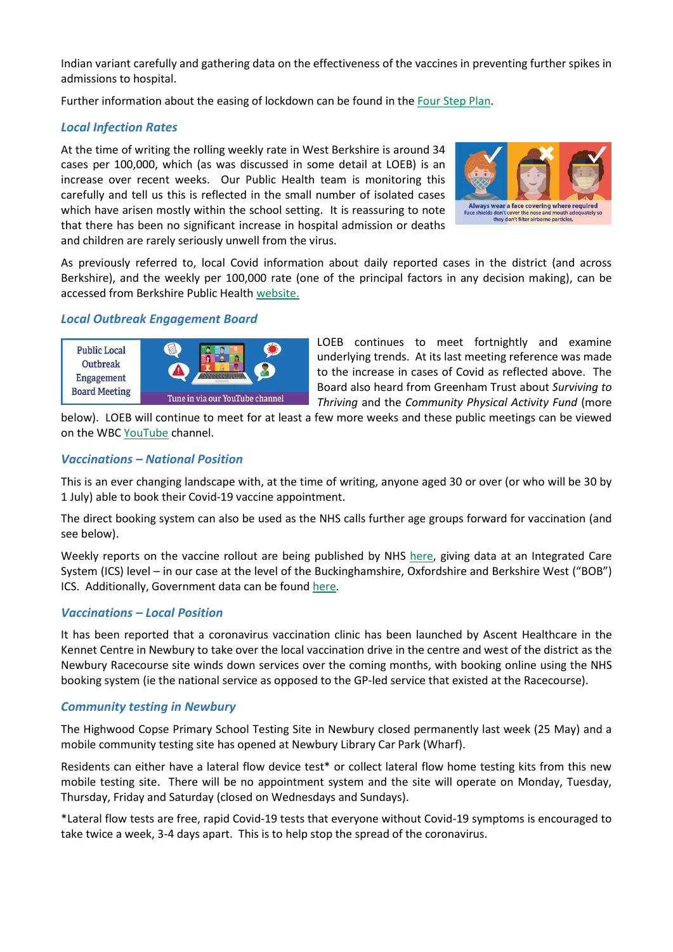Indian variant carefully and gathering data on the effectiveness of the vaccines in preventing further spikes in admissions to hospital.

Further information about the easing of lockdown can be found in the [Four Step](https://www.gov.uk/government/publications/covid-19-response-spring-2021) Plan.

# *Local Infection Rates*

At the time of writing the rolling weekly rate in West Berkshire is around 34 cases per 100,000, which (as was discussed in some detail at LOEB) is an increase over recent weeks. Our Public Health team is monitoring this carefully and tell us this is reflected in the small number of isolated cases which have arisen mostly within the school setting. It is reassuring to note that there has been no significant increase in hospital admission or deaths and children are rarely seriously unwell from the virus.



As previously referred to, local Covid information about daily reported cases in the district (and across Berkshire), and the weekly per 100,000 rate (one of the principal factors in any decision making), can be accessed from Berkshire Public Health [website.](http://www.berkshirepublichealth.co.uk/)

### *Local Outbreak Engagement Board*



LOEB continues to meet fortnightly and examine underlying trends. At its last meeting reference was made to the increase in cases of Covid as reflected above. The Board also heard from Greenham Trust about *Surviving to Thriving* and the *Community Physical Activity Fund* (more

below). LOEB will continue to meet for at least a few more weeks and these public meetings can be viewed on the WB[C YouTube](http://info.westberks.gov.uk/youtube) channel.

# *Vaccinations – National Position*

This is an ever changing landscape with, at the time of writing, anyone aged 30 or over (or who will be 30 by 1 July) able to book their Covid-19 vaccine appointment.

The direct booking system can also be used as the NHS calls further age groups forward for vaccination (and see below).

Weekly reports on the vaccine rollout are being published by NHS [here,](https://www.england.nhs.uk/statistics/statistical-work-areas/covid-19-vaccinations/) giving data at an Integrated Care System (ICS) level – in our case at the level of the Buckinghamshire, Oxfordshire and Berkshire West ("BOB") ICS. Additionally, Government data can be foun[d here.](https://coronavirus.data.gov.uk/details/vaccinations)

# *Vaccinations – Local Position*

It has been reported that a coronavirus vaccination clinic has been launched by Ascent Healthcare in the Kennet Centre in Newbury to take over the local vaccination drive in the centre and west of the district as the Newbury Racecourse site winds down services over the coming months, with booking online using the NHS booking system (ie the national service as opposed to the GP-led service that existed at the Racecourse).

# *Community testing in Newbury*

The Highwood Copse Primary School Testing Site in Newbury closed permanently last week (25 May) and a mobile community testing site has opened at Newbury Library Car Park (Wharf).

Residents can either have a lateral flow device test\* or collect lateral flow home testing kits from this new mobile testing site. There will be no appointment system and the site will operate on Monday, Tuesday, Thursday, Friday and Saturday (closed on Wednesdays and Sundays).

\*Lateral flow tests are free, rapid Covid-19 tests that everyone without Covid-19 symptoms is encouraged to take twice a week, 3-4 days apart. This is to help stop the spread of the coronavirus.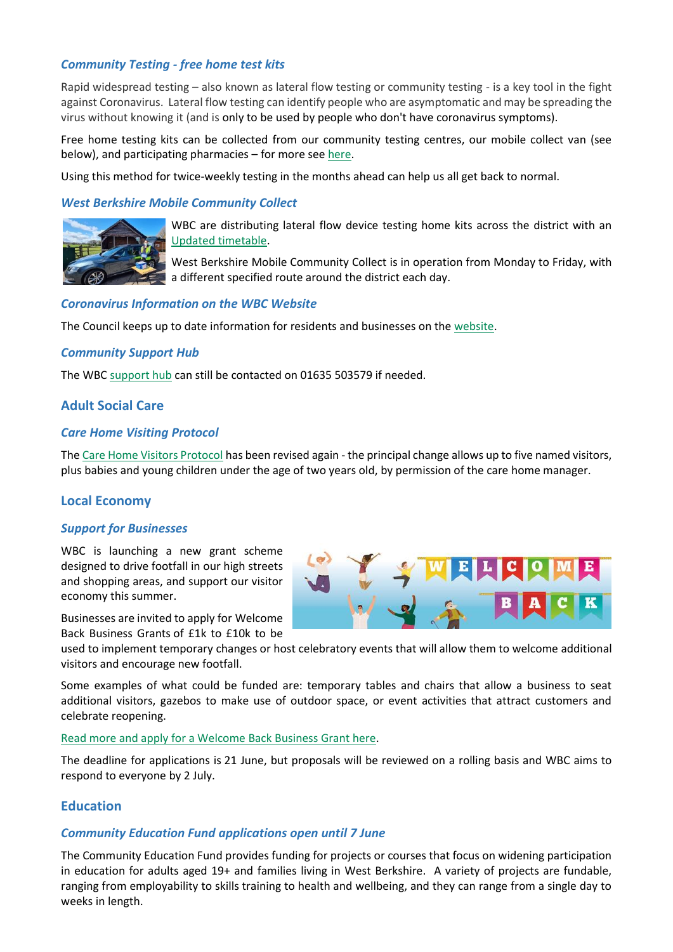### *Community Testing - free home test kits*

Rapid widespread testing – also known as lateral flow testing or community testing - is a key tool in the fight against Coronavirus. Lateral flow testing can identify people who are asymptomatic and may be spreading the virus without knowing it (and is only to be used by people who don't have coronavirus symptoms).

Free home testing kits can be collected from our community testing centres, our mobile collect van (see below), and participating pharmacies – for more see [here.](https://info.westberks.gov.uk/lateralflowtesting)

Using this method for twice-weekly testing in the months ahead can help us all get back to normal.

### *West Berkshire Mobile Community Collect*



WBC are distributing lateral flow device testing home kits across the district with an [Updated timetable.](https://info.westberks.gov.uk/lateralflowtesting%23Community%20Collect)

West Berkshire Mobile Community Collect is in operation from Monday to Friday, with a different specified route around the district each day.

### *Coronavirus Information on the WBC Website*

The Council keeps up to date information for residents and businesses on the [website.](https://info.westberks.gov.uk/coronavirus-support)

### *Community Support Hub*

The WBC [support hub](https://info.westberks.gov.uk/supporthub) can still be contacted on 01635 503579 if needed.

# **Adult Social Care**

### *Care Home Visiting Protocol*

Th[e Care Home Visitors Protocol](https://www.westberks.gov.uk/media/49075/Care-Home-visitors-protocol/pdf/ASC_Care_Home_visitors_protocol_V_5.0_April_2021_MB.pdf?m=637546292467500000) has been revised again - the principal change allows up to five named visitors, plus babies and young children under the age of two years old, by permission of the care home manager.

# **Local Economy**

### *Support for Businesses*

WBC is launching a new grant scheme designed to drive footfall in our high streets and shopping areas, and support our visitor economy this summer.

Businesses are invited to apply for Welcome Back Business Grants of £1k to £10k to be



used to implement temporary changes or host celebratory events that will allow them to welcome additional visitors and encourage new footfall.

Some examples of what could be funded are: temporary tables and chairs that allow a business to seat additional visitors, gazebos to make use of outdoor space, or event activities that attract customers and celebrate reopening.

#### [Read more and apply for a Welcome Back Business Grant here.](https://info.westberks.gov.uk/welcome-back-business-grants)

The deadline for applications is 21 June, but proposals will be reviewed on a rolling basis and WBC aims to respond to everyone by 2 July.

# **Education**

### *Community Education Fund applications open until 7 June*

The Community Education Fund provides funding for projects or courses that focus on widening participation in education for adults aged 19+ and families living in West Berkshire. A variety of projects are fundable, ranging from employability to skills training to health and wellbeing, and they can range from a single day to weeks in length.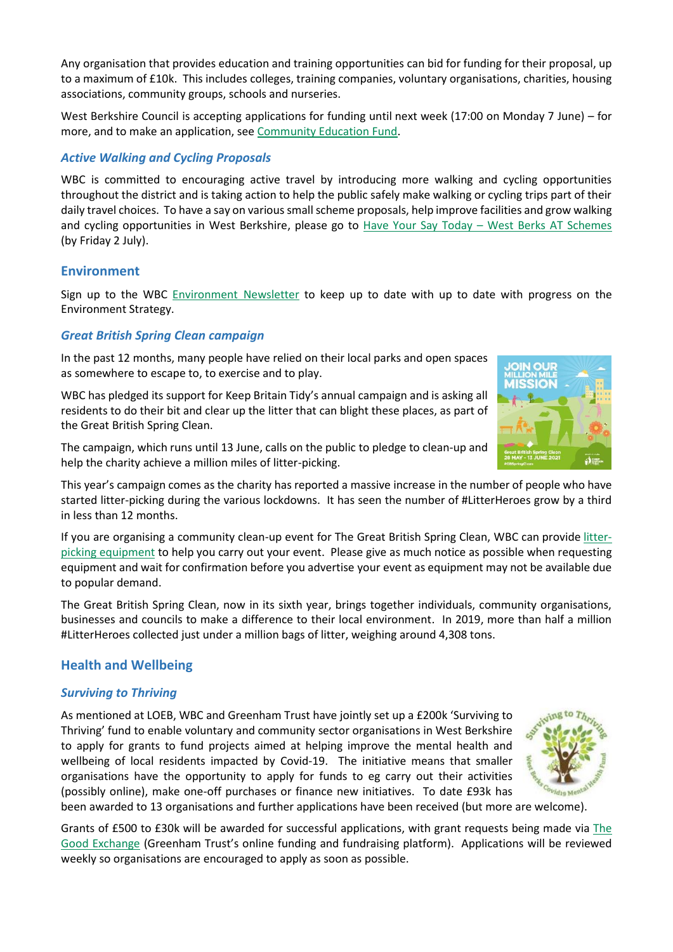Any organisation that provides education and training opportunities can bid for funding for their proposal, up to a maximum of £10k. This includes colleges, training companies, voluntary organisations, charities, housing associations, community groups, schools and nurseries.

West Berkshire Council is accepting applications for funding until next week (17:00 on Monday 7 June) – for more, and to make an application, see [Community Education Fund.](https://info.westberks.gov.uk/cef)

# *Active Walking and Cycling Proposals*

WBC is committed to encouraging active travel by introducing more walking and cycling opportunities throughout the district and is taking action to help the public safely make walking or cycling trips part of their daily travel choices. To have a say on various smallscheme proposals, help improve facilities and grow walking and cycling opportunities in West Berkshire, please go to Have Your Say Today - [West Berks AT Schemes](https://westberksatschemes.commonplace.is/) (by Friday 2 July).

# **Environment**

Sign up to the WBC [Environment](http://protect-eu.mimecast.com/s/sjFsCOyk9SA48VVskawrC?domain=track.vuelio.uk.com) Newsletter to keep up to date with up to date with progress on the Environment Strategy.

# *Great British Spring Clean campaign*

In the past 12 months, many people have relied on their local parks and open spaces as somewhere to escape to, to exercise and to play.

WBC has pledged its support for Keep Britain Tidy's annual campaign and is asking all residents to do their bit and clear up the litter that can blight these places, as part of the Great British Spring Clean.

The campaign, which runs until 13 June, calls on the public to pledge to clean-up and help the charity achieve a million miles of litter-picking.

This year's campaign comes as the charity has reported a massive increase in the number of people who have started litter-picking during the various lockdowns. It has seen the number of #LitterHeroes grow by a third in less than 12 months.

If you are organising a community clean-up event for The Great British Spring Clean, WBC can provide [litter](http://protect-eu.mimecast.com/s/RPePCrR57UApYOVu7oO9y?domain=track.vuelio.uk.com)[picking equipment](http://protect-eu.mimecast.com/s/RPePCrR57UApYOVu7oO9y?domain=track.vuelio.uk.com) to help you carry out your event. Please give as much notice as possible when requesting equipment and wait for confirmation before you advertise your event as equipment may not be available due to popular demand.

The Great British Spring Clean, now in its sixth year, brings together individuals, community organisations, businesses and councils to make a difference to their local environment. In 2019, more than half a million #LitterHeroes collected just under a million bags of litter, weighing around 4,308 tons.

# **Health and Wellbeing**

# *Surviving to Thriving*

As mentioned at LOEB, WBC and Greenham Trust have jointly set up a £200k 'Surviving to Thriving' fund to enable voluntary and community sector organisations in West Berkshire to apply for grants to fund projects aimed at helping improve the mental health and wellbeing of local residents impacted by Covid-19. The initiative means that smaller organisations have the opportunity to apply for funds to eg carry out their activities (possibly online), make one-off purchases or finance new initiatives. To date £93k has been awarded to 13 organisations and further applications have been received (but more are welcome).

Grants of £500 to £30k will be awarded for successful applications, with grant requests being made via [The](http://www.thegoodexchange.com/)  [Good Exchange](http://www.thegoodexchange.com/) (Greenham Trust's online funding and fundraising platform). Applications will be reviewed weekly so organisations are encouraged to apply as soon as possible.



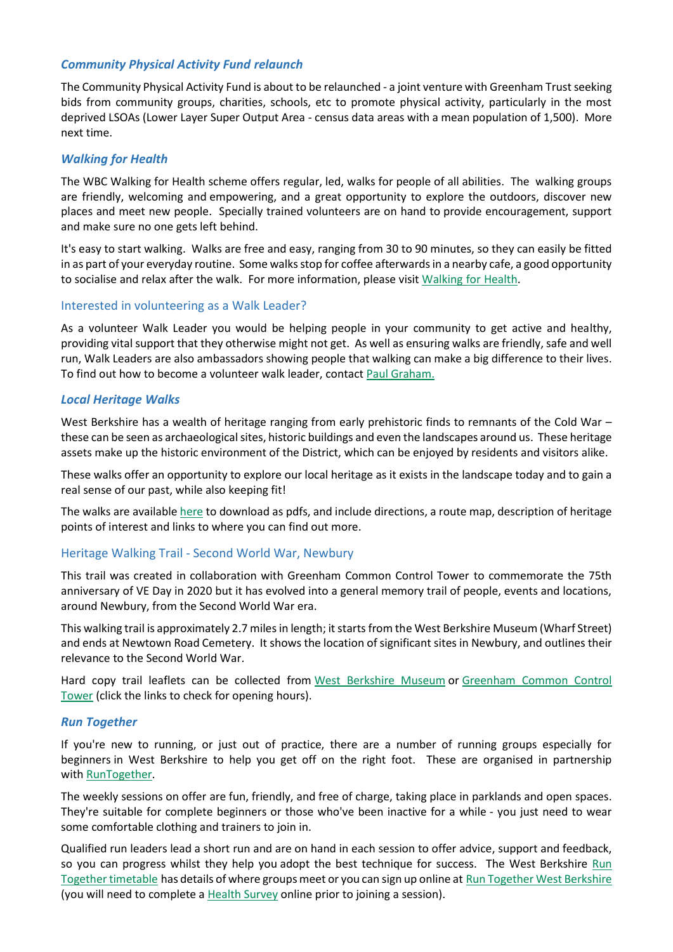### *Community Physical Activity Fund relaunch*

The Community Physical Activity Fund is about to be relaunched - a joint venture with Greenham Trust seeking bids from community groups, charities, schools, etc to promote physical activity, particularly in the most deprived LSOAs (Lower Layer Super Output Area - census data areas with a mean population of 1,500). More next time.

### *Walking for Health*

The WBC Walking for Health scheme offers regular, led, walks for people of all abilities. The walking groups are friendly, welcoming and empowering, and a great opportunity to explore the outdoors, discover new places and meet new people. Specially trained volunteers are on hand to provide encouragement, support and make sure no one gets left behind.

It's easy to start walking. Walks are free and easy, ranging from 30 to 90 minutes, so they can easily be fitted in as part of your everyday routine. Some walks stop for coffee afterwards in a nearby cafe, a good opportunity to socialise and relax after the walk. For more information, please visit [Walking](https://www.walkingforhealth.org.uk/) for Health.

### Interested in volunteering as a Walk Leader?

As a volunteer Walk Leader you would be helping people in your community to get active and healthy, providing vital support that they otherwise might not get. As well as ensuring walks are friendly, safe and well run, Walk Leaders are also ambassadors showing people that walking can make a big difference to their lives. To find out how to become a volunteer walk leader, contact [Paul Graham.](mailto:Paul.Graham1@westberks.gov.uk?subject=Walking%20for%20Health)

### *Local Heritage Walks*

West Berkshire has a wealth of heritage ranging from early prehistoric finds to remnants of the Cold War – these can be seen as archaeological sites, historic buildings and even the landscapes around us. These heritage assets make up the historic environment of the District, which can be enjoyed by residents and visitors alike.

These walks offer an opportunity to explore our local heritage as it exists in the landscape today and to gain a real sense of our past, while also keeping fit!

The walks are available [here](https://www.westberkshireheritage.org/local-heritage/heritage-walks) to download as pdfs, and include directions, a route map, description of heritage points of interest and links to where you can find out more.

### Heritage Walking Trail - Second World War, Newbury

This trail was created in collaboration with Greenham Common Control Tower to commemorate the 75th anniversary of VE Day in 2020 but it has evolved into a general memory trail of people, events and locations, around Newbury, from the Second World War era.

This walking trail is approximately 2.7 miles in length; it starts from the West Berkshire Museum (Wharf Street) and ends at Newtown Road Cemetery. It shows the location of significant sites in Newbury, and outlines their relevance to the Second World War.

Hard copy trail leaflets can be collected from [West Berkshire Museum](https://www.westberkshireheritage.org/plan-your-visit) or [Greenham Common Control](https://www.greenhamtower.org.uk/)  [Tower](https://www.greenhamtower.org.uk/) (click the links to check for opening hours).

### *Run Together*

If you're new to running, or just out of practice, there are a number of running groups especially for beginners in West Berkshire to help you get off on the right foot. These are organised in partnership with [RunTogether.](https://groups.runtogether.co.uk/runtogetherwestberks#_ga=1.255050312.1701502646.1484562363)

The weekly sessions on offer are fun, friendly, and free of charge, taking place in parklands and open spaces. They're suitable for complete beginners or those who've been inactive for a while - you just need to wear some comfortable clothing and trainers to join in.

Qualified run leaders lead a short run and are on hand in each session to offer advice, support and feedback, so you can progress whilst they help you adopt the best technique for success. The West Berkshire [Run](https://info.westberks.gov.uk/CHttpHandler.ashx?id=38845&p=0)  [Together timetable](https://info.westberks.gov.uk/CHttpHandler.ashx?id=38845&p=0) has details of where groups meet or you can sign up online at [Run Together West Berkshire](https://groups.runtogether.co.uk/runtogetherwestberks#_ga=1.255050312.1701502646.1484562363) (you will need to complete a Health Survey online prior to joining a session).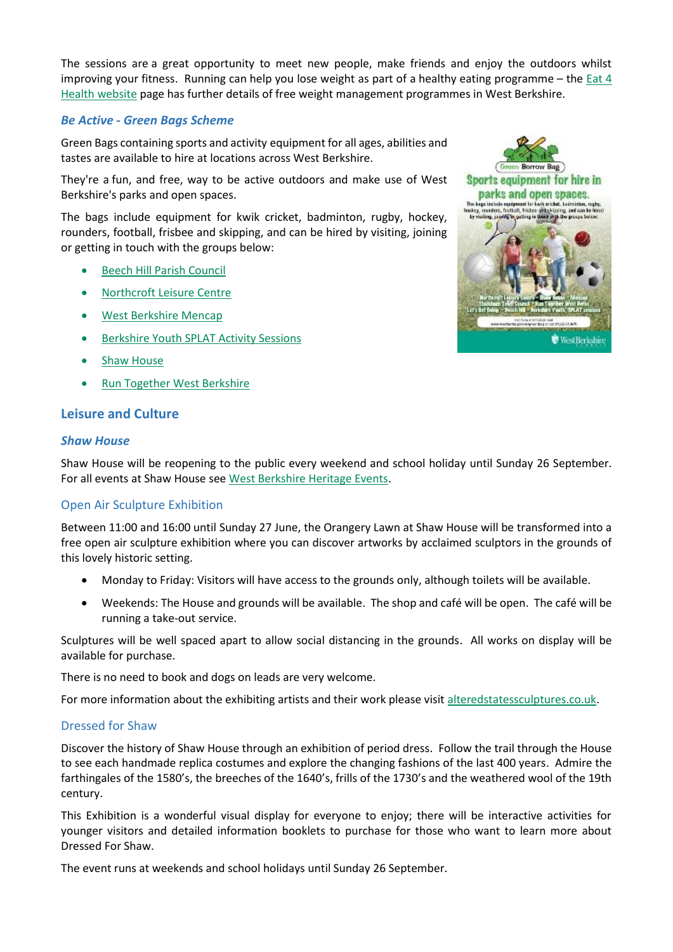The sessions are a great opportunity to meet new people, make friends and enjoy the outdoors whilst improving your fitness. Running can help you lose weight as part of a healthy eating programme – the [Eat 4](http://www.eat-4-health.co.uk/)  [Health website](http://www.eat-4-health.co.uk/) page has further details of free weight management programmes in West Berkshire.

### *Be Active - Green Bags Scheme*

Green Bags containing sports and activity equipment for all ages, abilities and tastes are available to hire at locations across West Berkshire.

They're a fun, and free, way to be active outdoors and make use of West Berkshire's parks and open spaces.

The bags include equipment for kwik cricket, badminton, rugby, hockey, rounders, football, frisbee and skipping, and can be hired by visiting, joining or getting in touch with the groups below:

- [Beech Hill Parish Council](http://www.beechhillvillage.co.uk/)
- [Northcroft Leisure Centre](https://info.westberks.gov.uk/article/29119/Northcroft-Leisure-Centre)
- [West Berkshire Mencap](http://www.wbmencap.org/)
- **•** [Berkshire Youth SPLAT Activity Sessions](http://www.berkshireyouth.co.uk/whats-on/activities)
- **•** [Shaw House](http://info.westberks.gov.uk/shawhouse)
- [Run Together West Berkshire](https://info.westberks.gov.uk/runtogether)

# **Leisure and Culture**

### *Shaw House*

Shaw House will be reopening to the public every weekend and school holiday until Sunday 26 September. For all events at Shaw House se[e West Berkshire Heritage Events.](https://booking.westberks.gov.uk/heritage_events.html)

# Open Air Sculpture Exhibition

Between 11:00 and 16:00 until Sunday 27 June, the Orangery Lawn at Shaw House will be transformed into a free open air sculpture exhibition where you can discover artworks by acclaimed sculptors in the grounds of this lovely historic setting.

- Monday to Friday: Visitors will have access to the grounds only, although toilets will be available.
- Weekends: The House and grounds will be available. The shop and café will be open. The café will be running a take-out service.

Sculptures will be well spaced apart to allow social distancing in the grounds. All works on display will be available for purchase.

There is no need to book and dogs on leads are very welcome.

For more information about the exhibiting artists and their work please visit [alteredstatessculptures.co.uk.](http://www.alteredstatessculptures.co.uk/)

### Dressed for Shaw

Discover the history of Shaw House through an exhibition of period dress. Follow the trail through the House to see each handmade replica costumes and explore the changing fashions of the last 400 years. Admire the farthingales of the 1580's, the breeches of the 1640's, frills of the 1730's and the weathered wool of the 19th century.

This Exhibition is a wonderful visual display for everyone to enjoy; there will be interactive activities for younger visitors and detailed information booklets to purchase for those who want to learn more about Dressed For Shaw.

The event runs at weekends and school holidays until Sunday 26 September.

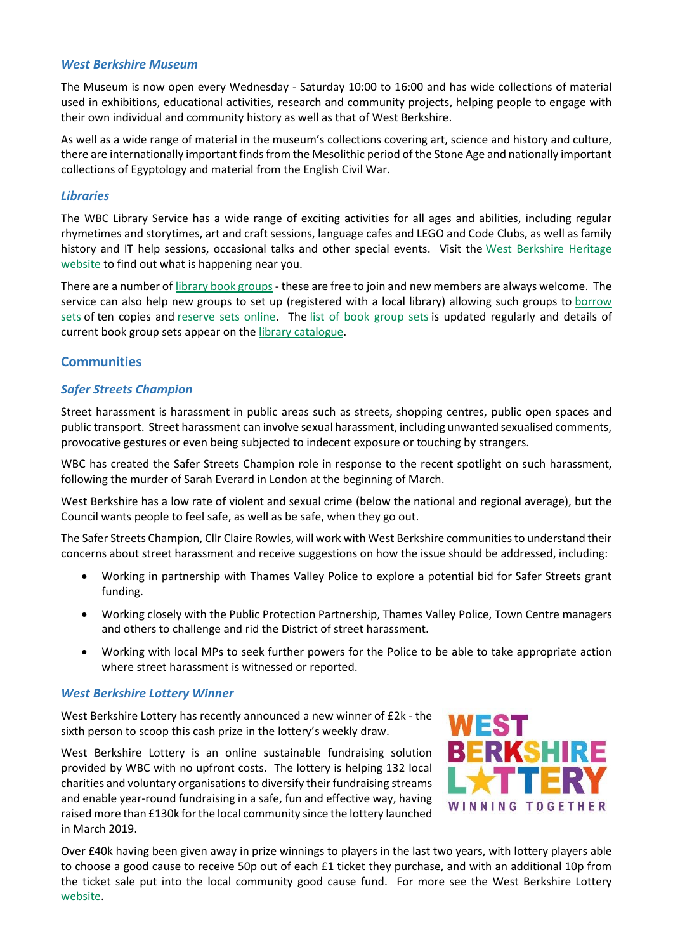### *West Berkshire Museum*

The Museum is now open every Wednesday - Saturday 10:00 to 16:00 and has wide collections of material used in exhibitions, educational activities, research and community projects, helping people to engage with their own individual and community history as well as that of West Berkshire.

As well as a wide range of material in the museum's collections covering art, science and history and culture, there are internationally important finds from the Mesolithic period of the Stone Age and nationally important collections of Egyptology and material from the English Civil War.

### *Libraries*

The WBC Library Service has a wide range of exciting activities for all ages and abilities, including regular rhymetimes and storytimes, art and craft sessions, language cafes and LEGO and Code Clubs, as well as family history and IT help sessions, occasional talks and other special events. Visit the [West Berkshire Heritage](https://booking.westberks.gov.uk/heritage_events.html)  [website](https://booking.westberks.gov.uk/heritage_events.html) to find out what is happening near you.

There are a number of [library book groups-](https://info.westberks.gov.uk/CHttpHandler.ashx?id=36852&p=0) these are free to join and new members are always welcome. The service can also help new groups to set up (registered with a local library) allowing such groups to [borrow](https://info.westberks.gov.uk/CHttpHandler.ashx?id=36850&p=0)  [sets](https://info.westberks.gov.uk/CHttpHandler.ashx?id=36850&p=0) of ten copies and [reserve sets online.](https://info.westberks.gov.uk/CHttpHandler.ashx?id=36851&p=0) The [list of book group sets](https://info.westberks.gov.uk/CHttpHandler.ashx?id=42626&p=0) is updated regularly and details of current book group sets appear on the [library catalogue.](https://westberks.spydus.co.uk/cgi-bin/spydus.exe/MSGTRN/WPAC/HOME)

# **Communities**

### *Safer Streets Champion*

Street harassment is harassment in public areas such as streets, shopping centres, public open spaces and public transport. Street harassment can involve sexual harassment, including unwanted sexualised comments, provocative gestures or even being subjected to indecent exposure or touching by strangers.

WBC has created the Safer Streets Champion role in response to the recent spotlight on such harassment, following the murder of Sarah Everard in London at the beginning of March.

West Berkshire has a low rate of violent and sexual crime (below the national and regional average), but the Council wants people to feel safe, as well as be safe, when they go out.

The Safer Streets Champion, Cllr Claire Rowles, will work with West Berkshire communities to understand their concerns about street harassment and receive suggestions on how the issue should be addressed, including:

- Working in partnership with Thames Valley Police to explore a potential bid for Safer Streets grant funding.
- Working closely with the Public Protection Partnership, Thames Valley Police, Town Centre managers and others to challenge and rid the District of street harassment.
- Working with local MPs to seek further powers for the Police to be able to take appropriate action where street harassment is witnessed or reported.

### *West Berkshire Lottery Winner*

West Berkshire Lottery has recently announced a new winner of £2k - the sixth person to scoop this cash prize in the lottery's weekly draw.

West Berkshire Lottery is an online sustainable fundraising solution provided by WBC with no upfront costs. The lottery is helping 132 local charities and voluntary organisations to diversify their fundraising streams and enable year-round fundraising in a safe, fun and effective way, having raised more than £130k for the local community since the lottery launched in March 2019.



Over £40k having been given away in prize winnings to players in the last two years, with lottery players able to choose a good cause to receive 50p out of each £1 ticket they purchase, and with an additional 10p from the ticket sale put into the local community good cause fund. For more see the West Berkshire Lottery [website.](http://www.westberkshirelottery.co.uk/)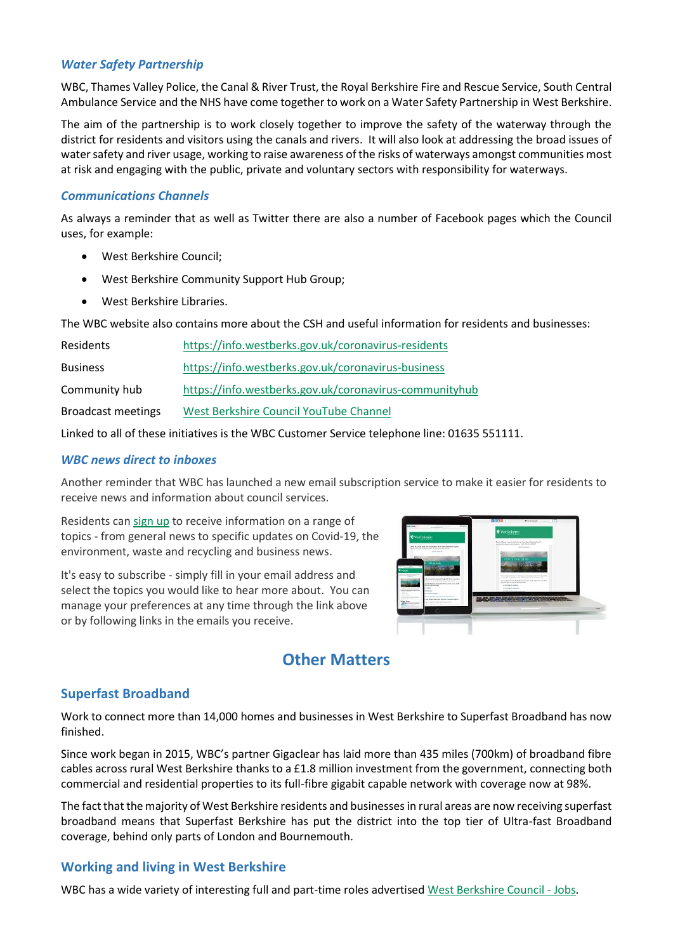# *Water Safety Partnership*

WBC, Thames Valley Police, the Canal & River Trust, the Royal Berkshire Fire and Rescue Service, South Central Ambulance Service and the NHS have come together to work on a Water Safety Partnership in West Berkshire.

The aim of the partnership is to work closely together to improve the safety of the waterway through the district for residents and visitors using the canals and rivers. It will also look at addressing the broad issues of water safety and river usage, working to raise awareness of the risks of waterways amongst communities most at risk and engaging with the public, private and voluntary sectors with responsibility for waterways.

# *Communications Channels*

As always a reminder that as well as Twitter there are also a number of Facebook pages which the Council uses, for example:

- West Berkshire Council;
- West Berkshire Community Support Hub Group;
- West Berkshire Libraries.

The WBC website also contains more about the CSH and useful information for residents and businesses:

| Residents                 | https://info.westberks.gov.uk/coronavirus-residents    |
|---------------------------|--------------------------------------------------------|
| <b>Business</b>           | https://info.westberks.gov.uk/coronavirus-business     |
| Community hub             | https://info.westberks.gov.uk/coronavirus-communityhub |
| <b>Broadcast meetings</b> | West Berkshire Council YouTube Channel                 |

Linked to all of these initiatives is the WBC Customer Service telephone line: 01635 551111.

# *WBC news direct to inboxes*

Another reminder that WBC has launched a new email subscription service to make it easier for residents to receive news and information about council services.

Residents can [sign up](https://public.govdelivery.com/accounts/UKWESTBC/subscriber/new?qsp=CODE_RED) to receive information on a range of topics - from general news to specific updates on Covid-19, the environment, waste and recycling and business news.

It's easy to subscribe - simply fill in your email address and select the topics you would like to hear more about. You can manage your preferences at any time through the link above or by following links in the emails you receive.



# **Other Matters**

# **Superfast Broadband**

Work to connect more than 14,000 homes and businesses in West Berkshire to Superfast Broadband has now finished.

Since work began in 2015, WBC's partner Gigaclear has laid more than 435 miles (700km) of broadband fibre cables across rural West Berkshire thanks to a £1.8 million investment from the government, connecting both commercial and residential properties to its full-fibre gigabit capable network with coverage now at 98%.

The fact that the majority of West Berkshire residents and businesses in rural areas are now receiving superfast broadband means that Superfast Berkshire has put the district into the top tier of Ultra-fast Broadband coverage, behind only parts of London and Bournemouth.

# **Working and living in West Berkshire**

WBC has a wide variety of interesting full and part-time roles advertised [West Berkshire Council -](https://jobs.westberks.gov.uk/index.aspx?articleid=31561) Jobs.